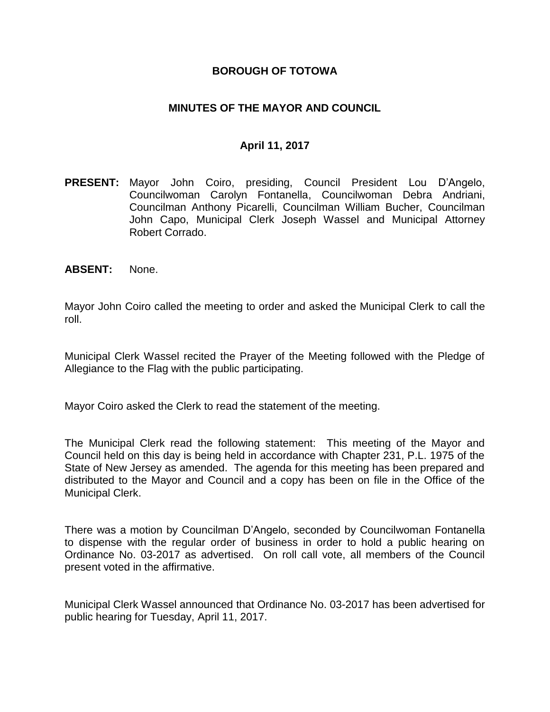### **BOROUGH OF TOTOWA**

### **MINUTES OF THE MAYOR AND COUNCIL**

### **April 11, 2017**

- **PRESENT:** Mayor John Coiro, presiding, Council President Lou D'Angelo, Councilwoman Carolyn Fontanella, Councilwoman Debra Andriani, Councilman Anthony Picarelli, Councilman William Bucher, Councilman John Capo, Municipal Clerk Joseph Wassel and Municipal Attorney Robert Corrado.
- **ABSENT:** None.

Mayor John Coiro called the meeting to order and asked the Municipal Clerk to call the roll.

Municipal Clerk Wassel recited the Prayer of the Meeting followed with the Pledge of Allegiance to the Flag with the public participating.

Mayor Coiro asked the Clerk to read the statement of the meeting.

The Municipal Clerk read the following statement: This meeting of the Mayor and Council held on this day is being held in accordance with Chapter 231, P.L. 1975 of the State of New Jersey as amended. The agenda for this meeting has been prepared and distributed to the Mayor and Council and a copy has been on file in the Office of the Municipal Clerk.

There was a motion by Councilman D'Angelo, seconded by Councilwoman Fontanella to dispense with the regular order of business in order to hold a public hearing on Ordinance No. 03-2017 as advertised. On roll call vote, all members of the Council present voted in the affirmative.

Municipal Clerk Wassel announced that Ordinance No. 03-2017 has been advertised for public hearing for Tuesday, April 11, 2017.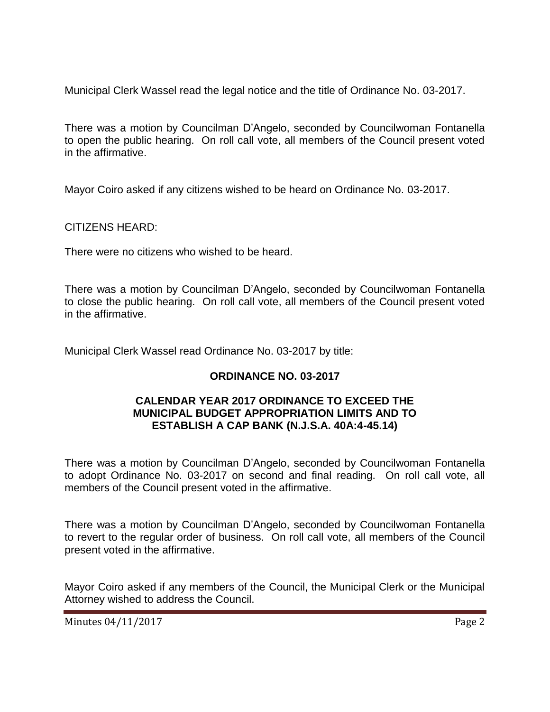Municipal Clerk Wassel read the legal notice and the title of Ordinance No. 03-2017.

There was a motion by Councilman D'Angelo, seconded by Councilwoman Fontanella to open the public hearing. On roll call vote, all members of the Council present voted in the affirmative.

Mayor Coiro asked if any citizens wished to be heard on Ordinance No. 03-2017.

CITIZENS HEARD:

There were no citizens who wished to be heard.

There was a motion by Councilman D'Angelo, seconded by Councilwoman Fontanella to close the public hearing. On roll call vote, all members of the Council present voted in the affirmative.

Municipal Clerk Wassel read Ordinance No. 03-2017 by title:

# **ORDINANCE NO. 03-2017**

### **CALENDAR YEAR 2017 ORDINANCE TO EXCEED THE MUNICIPAL BUDGET APPROPRIATION LIMITS AND TO ESTABLISH A CAP BANK (N.J.S.A. 40A:4-45.14)**

There was a motion by Councilman D'Angelo, seconded by Councilwoman Fontanella to adopt Ordinance No. 03-2017 on second and final reading. On roll call vote, all members of the Council present voted in the affirmative.

There was a motion by Councilman D'Angelo, seconded by Councilwoman Fontanella to revert to the regular order of business. On roll call vote, all members of the Council present voted in the affirmative.

Mayor Coiro asked if any members of the Council, the Municipal Clerk or the Municipal Attorney wished to address the Council.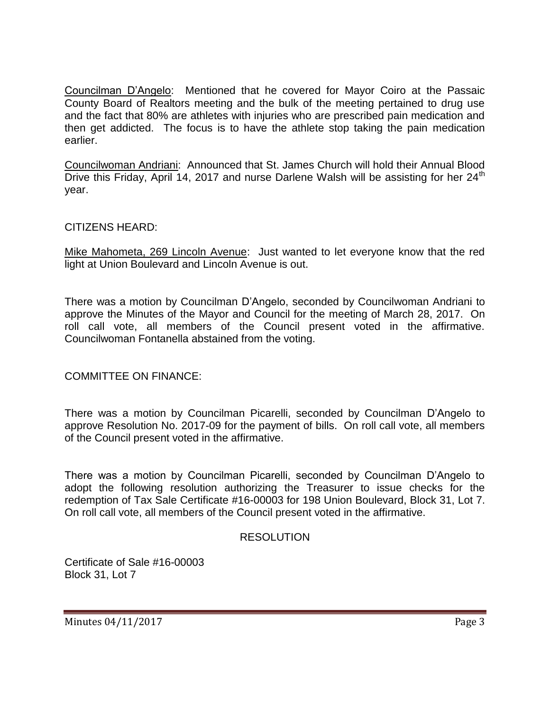Councilman D'Angelo: Mentioned that he covered for Mayor Coiro at the Passaic County Board of Realtors meeting and the bulk of the meeting pertained to drug use and the fact that 80% are athletes with injuries who are prescribed pain medication and then get addicted. The focus is to have the athlete stop taking the pain medication earlier.

Councilwoman Andriani: Announced that St. James Church will hold their Annual Blood Drive this Friday, April 14, 2017 and nurse Darlene Walsh will be assisting for her 24<sup>th</sup> year.

# CITIZENS HEARD:

Mike Mahometa, 269 Lincoln Avenue: Just wanted to let everyone know that the red light at Union Boulevard and Lincoln Avenue is out.

There was a motion by Councilman D'Angelo, seconded by Councilwoman Andriani to approve the Minutes of the Mayor and Council for the meeting of March 28, 2017. On roll call vote, all members of the Council present voted in the affirmative. Councilwoman Fontanella abstained from the voting.

### COMMITTEE ON FINANCE:

There was a motion by Councilman Picarelli, seconded by Councilman D'Angelo to approve Resolution No. 2017-09 for the payment of bills. On roll call vote, all members of the Council present voted in the affirmative.

There was a motion by Councilman Picarelli, seconded by Councilman D'Angelo to adopt the following resolution authorizing the Treasurer to issue checks for the redemption of Tax Sale Certificate #16-00003 for 198 Union Boulevard, Block 31, Lot 7. On roll call vote, all members of the Council present voted in the affirmative.

### RESOLUTION

Certificate of Sale #16-00003 Block 31, Lot 7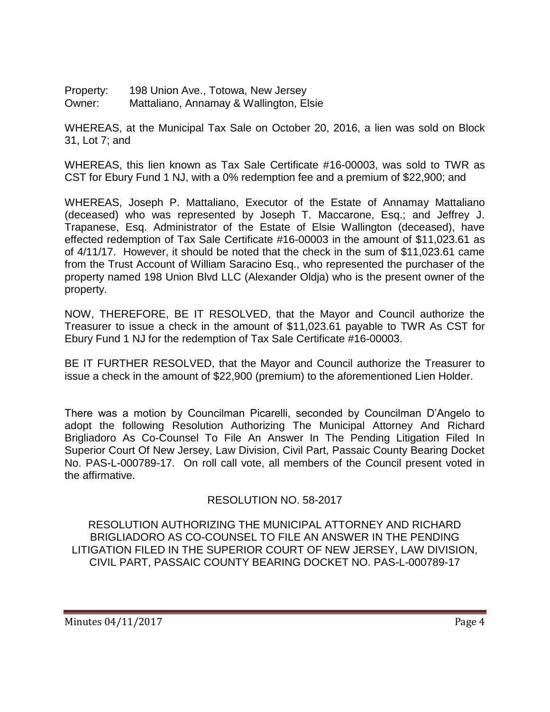Property: 198 Union Ave., Totowa, New Jersey Owner: Mattaliano, Annamay & Wallington, Elsie

WHEREAS, at the Municipal Tax Sale on October 20, 2016, a lien was sold on Block 31, Lot 7; and

WHEREAS, this lien known as Tax Sale Certificate #16-00003, was sold to TWR as CST for Ebury Fund 1 NJ, with a 0% redemption fee and a premium of \$22,900; and

WHEREAS, Joseph P. Mattaliano, Executor of the Estate of Annamay Mattaliano (deceased) who was represented by Joseph T. Maccarone, Esq.; and Jeffrey J. Trapanese, Esq. Administrator of the Estate of Elsie Wallington (deceased), have effected redemption of Tax Sale Certificate #16-00003 in the amount of \$11,023.61 as of 4/11/17. However, it should be noted that the check in the sum of \$11,023.61 came from the Trust Account of William Saracino Esq., who represented the purchaser of the property named 198 Union Blvd LLC (Alexander Oldja) who is the present owner of the property.

NOW, THEREFORE, BE IT RESOLVED, that the Mayor and Council authorize the Treasurer to issue a check in the amount of \$11,023.61 payable to TWR As CST for Ebury Fund 1 NJ for the redemption of Tax Sale Certificate #16-00003.

BE IT FURTHER RESOLVED, that the Mayor and Council authorize the Treasurer to issue a check in the amount of \$22,900 (premium) to the aforementioned Lien Holder.

There was a motion by Councilman Picarelli, seconded by Councilman D'Angelo to adopt the following Resolution Authorizing The Municipal Attorney And Richard Brigliadoro As Co-Counsel To File An Answer In The Pending Litigation Filed In Superior Court Of New Jersey, Law Division, Civil Part, Passaic County Bearing Docket No. PAS-L-000789-17. On roll call vote, all members of the Council present voted in the affirmative.

# RESOLUTION NO. 58-2017

RESOLUTION AUTHORIZING THE MUNICIPAL ATTORNEY AND RICHARD BRIGLIADORO AS CO-COUNSEL TO FILE AN ANSWER IN THE PENDING LITIGATION FILED IN THE SUPERIOR COURT OF NEW JERSEY, LAW DIVISION, CIVIL PART, PASSAIC COUNTY BEARING DOCKET NO. PAS-L-000789-17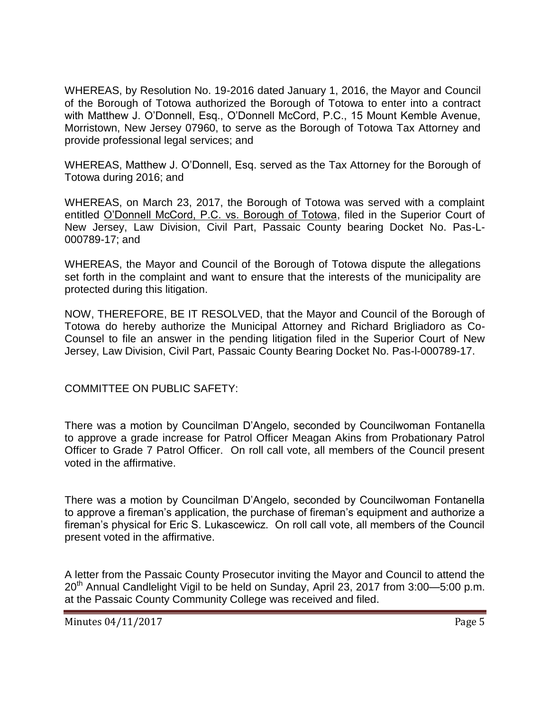WHEREAS, by Resolution No. 19-2016 dated January 1, 2016, the Mayor and Council of the Borough of Totowa authorized the Borough of Totowa to enter into a contract with Matthew J. O'Donnell, Esq., O'Donnell McCord, P.C., 15 Mount Kemble Avenue, Morristown, New Jersey 07960, to serve as the Borough of Totowa Tax Attorney and provide professional legal services; and

WHEREAS, Matthew J. O'Donnell, Esq. served as the Tax Attorney for the Borough of Totowa during 2016; and

WHEREAS, on March 23, 2017, the Borough of Totowa was served with a complaint entitled O'Donnell McCord, P.C. vs. Borough of Totowa, filed in the Superior Court of New Jersey, Law Division, Civil Part, Passaic County bearing Docket No. Pas-L-000789-17; and

WHEREAS, the Mayor and Council of the Borough of Totowa dispute the allegations set forth in the complaint and want to ensure that the interests of the municipality are protected during this litigation.

NOW, THEREFORE, BE IT RESOLVED, that the Mayor and Council of the Borough of Totowa do hereby authorize the Municipal Attorney and Richard Brigliadoro as Co-Counsel to file an answer in the pending litigation filed in the Superior Court of New Jersey, Law Division, Civil Part, Passaic County Bearing Docket No. Pas-l-000789-17.

COMMITTEE ON PUBLIC SAFETY:

There was a motion by Councilman D'Angelo, seconded by Councilwoman Fontanella to approve a grade increase for Patrol Officer Meagan Akins from Probationary Patrol Officer to Grade 7 Patrol Officer. On roll call vote, all members of the Council present voted in the affirmative.

There was a motion by Councilman D'Angelo, seconded by Councilwoman Fontanella to approve a fireman's application, the purchase of fireman's equipment and authorize a fireman's physical for Eric S. Lukascewicz. On roll call vote, all members of the Council present voted in the affirmative.

A letter from the Passaic County Prosecutor inviting the Mayor and Council to attend the 20th Annual Candlelight Vigil to be held on Sunday, April 23, 2017 from 3:00—5:00 p.m. at the Passaic County Community College was received and filed.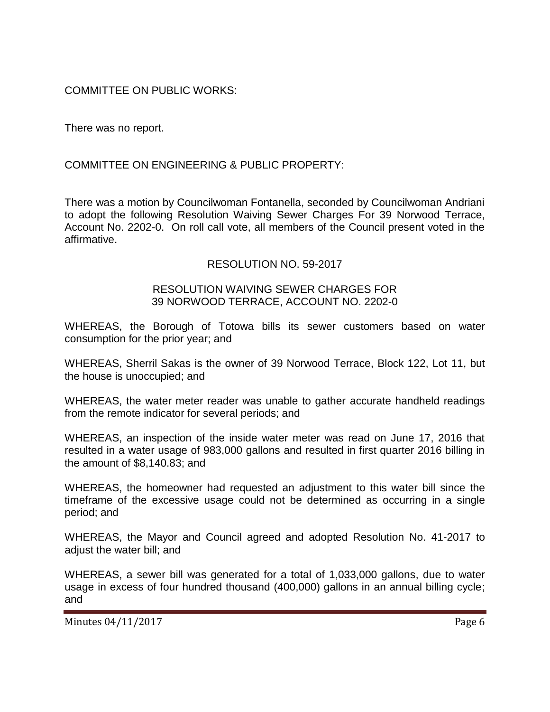COMMITTEE ON PUBLIC WORKS:

There was no report.

# COMMITTEE ON ENGINEERING & PUBLIC PROPERTY:

There was a motion by Councilwoman Fontanella, seconded by Councilwoman Andriani to adopt the following Resolution Waiving Sewer Charges For 39 Norwood Terrace, Account No. 2202-0. On roll call vote, all members of the Council present voted in the affirmative.

### RESOLUTION NO. 59-2017

### RESOLUTION WAIVING SEWER CHARGES FOR 39 NORWOOD TERRACE, ACCOUNT NO. 2202-0

WHEREAS, the Borough of Totowa bills its sewer customers based on water consumption for the prior year; and

WHEREAS, Sherril Sakas is the owner of 39 Norwood Terrace, Block 122, Lot 11, but the house is unoccupied; and

WHEREAS, the water meter reader was unable to gather accurate handheld readings from the remote indicator for several periods; and

WHEREAS, an inspection of the inside water meter was read on June 17, 2016 that resulted in a water usage of 983,000 gallons and resulted in first quarter 2016 billing in the amount of \$8,140.83; and

WHEREAS, the homeowner had requested an adjustment to this water bill since the timeframe of the excessive usage could not be determined as occurring in a single period; and

WHEREAS, the Mayor and Council agreed and adopted Resolution No. 41-2017 to adiust the water bill; and

WHEREAS, a sewer bill was generated for a total of 1,033,000 gallons, due to water usage in excess of four hundred thousand (400,000) gallons in an annual billing cycle; and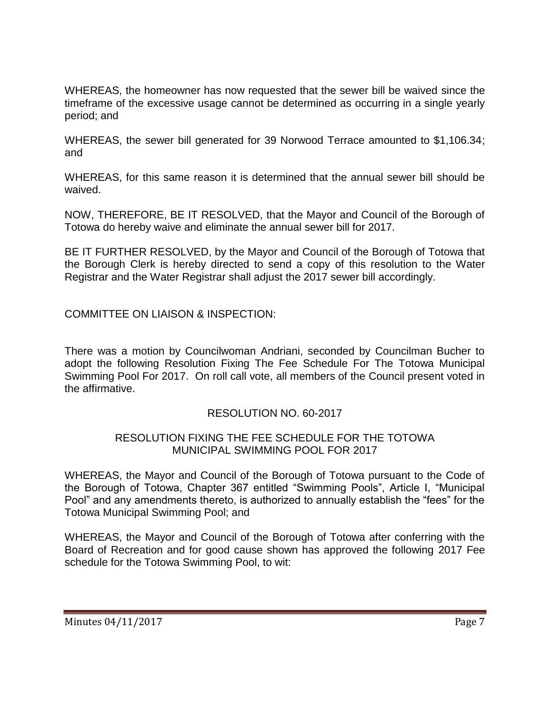WHEREAS, the homeowner has now requested that the sewer bill be waived since the timeframe of the excessive usage cannot be determined as occurring in a single yearly period; and

WHEREAS, the sewer bill generated for 39 Norwood Terrace amounted to \$1,106.34; and

WHEREAS, for this same reason it is determined that the annual sewer bill should be waived.

NOW, THEREFORE, BE IT RESOLVED, that the Mayor and Council of the Borough of Totowa do hereby waive and eliminate the annual sewer bill for 2017.

BE IT FURTHER RESOLVED, by the Mayor and Council of the Borough of Totowa that the Borough Clerk is hereby directed to send a copy of this resolution to the Water Registrar and the Water Registrar shall adjust the 2017 sewer bill accordingly.

COMMITTEE ON LIAISON & INSPECTION:

There was a motion by Councilwoman Andriani, seconded by Councilman Bucher to adopt the following Resolution Fixing The Fee Schedule For The Totowa Municipal Swimming Pool For 2017. On roll call vote, all members of the Council present voted in the affirmative.

# RESOLUTION NO. 60-2017

### RESOLUTION FIXING THE FEE SCHEDULE FOR THE TOTOWA MUNICIPAL SWIMMING POOL FOR 2017

WHEREAS, the Mayor and Council of the Borough of Totowa pursuant to the Code of the Borough of Totowa, Chapter 367 entitled "Swimming Pools", Article I, "Municipal Pool" and any amendments thereto, is authorized to annually establish the "fees" for the Totowa Municipal Swimming Pool; and

WHEREAS, the Mayor and Council of the Borough of Totowa after conferring with the Board of Recreation and for good cause shown has approved the following 2017 Fee schedule for the Totowa Swimming Pool, to wit: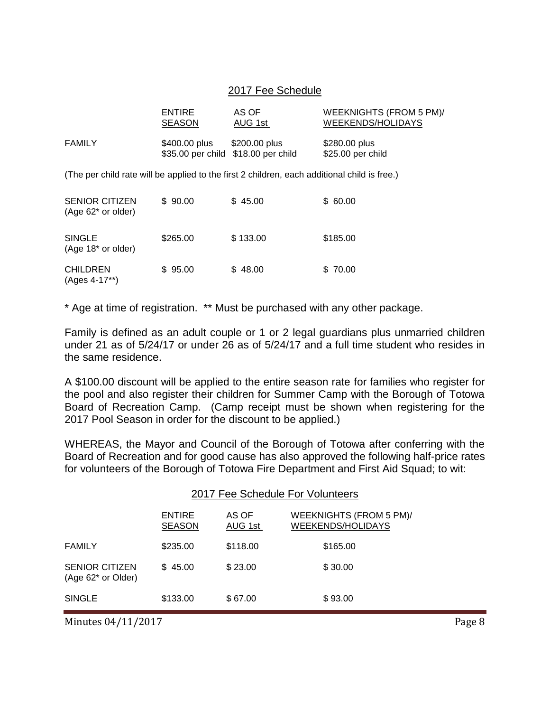#### 2017 Fee Schedule

|                                                                                              | <b>ENTIRE</b><br><b>SEASON</b> | AS OF<br>AUG 1st                                     | WEEKNIGHTS (FROM 5 PM)/<br>WEEKENDS/HOLIDAYS |  |  |
|----------------------------------------------------------------------------------------------|--------------------------------|------------------------------------------------------|----------------------------------------------|--|--|
| <b>FAMILY</b>                                                                                | \$400.00 plus                  | \$200.00 plus<br>\$35.00 per child \$18.00 per child | \$280.00 plus<br>\$25.00 per child           |  |  |
| (The per child rate will be applied to the first 2 children, each additional child is free.) |                                |                                                      |                                              |  |  |
| <b>SENIOR CITIZEN</b><br>$(Age 62^*$ or older)                                               | \$90.00                        | \$45.00                                              | \$60.00                                      |  |  |
| <b>SINGLE</b><br>(Age 18 <sup>*</sup> or older)                                              | \$265.00                       | \$133.00                                             | \$185.00                                     |  |  |
| <b>CHILDREN</b><br>(Ages 4-17**)                                                             | \$95.00                        | \$48.00                                              | \$70.00                                      |  |  |

\* Age at time of registration. \*\* Must be purchased with any other package.

Family is defined as an adult couple or 1 or 2 legal guardians plus unmarried children under 21 as of 5/24/17 or under 26 as of 5/24/17 and a full time student who resides in the same residence.

A \$100.00 discount will be applied to the entire season rate for families who register for the pool and also register their children for Summer Camp with the Borough of Totowa Board of Recreation Camp. (Camp receipt must be shown when registering for the 2017 Pool Season in order for the discount to be applied.)

WHEREAS, the Mayor and Council of the Borough of Totowa after conferring with the Board of Recreation and for good cause has also approved the following half-price rates for volunteers of the Borough of Totowa Fire Department and First Aid Squad; to wit:

|                                             | 2017 Fee Schedule For Volunteers |                  |                                                     |  |
|---------------------------------------------|----------------------------------|------------------|-----------------------------------------------------|--|
|                                             | <b>ENTIRE</b><br><b>SEASON</b>   | AS OF<br>AUG 1st | WEEKNIGHTS (FROM 5 PM)/<br><b>WEEKENDS/HOLIDAYS</b> |  |
| <b>FAMILY</b>                               | \$235.00                         | \$118.00         | \$165.00                                            |  |
| <b>SENIOR CITIZEN</b><br>(Age 62* or Older) | \$45.00                          | \$23.00          | \$30.00                                             |  |
| <b>SINGLE</b>                               | \$133.00                         | \$67.00          | \$93.00                                             |  |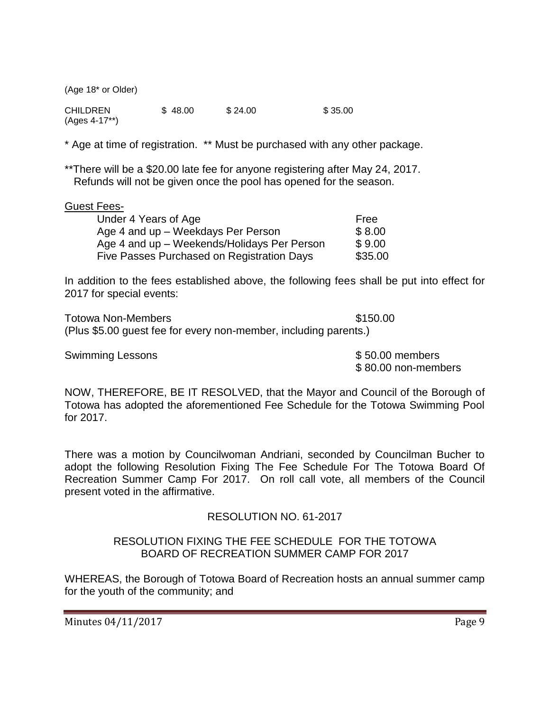(Age 18\* or Older)

CHILDREN \$48.00 \$24.00 \$35.00 (Ages 4-17\*\*)

\* Age at time of registration. \*\* Must be purchased with any other package.

\*\*There will be a \$20.00 late fee for anyone registering after May 24, 2017. Refunds will not be given once the pool has opened for the season.

#### Guest Fees-

| Under 4 Years of Age                        | Free    |
|---------------------------------------------|---------|
| Age 4 and up - Weekdays Per Person          | \$8.00  |
| Age 4 and up - Weekends/Holidays Per Person | \$9.00  |
| Five Passes Purchased on Registration Days  | \$35.00 |

In addition to the fees established above, the following fees shall be put into effect for 2017 for special events:

Totowa Non-Members **but a set of the Contract State S150.00** (Plus \$5.00 guest fee for every non-member, including parents.)

Swimming Lessons **\$50.00 members** 

\$ 80.00 non-members

NOW, THEREFORE, BE IT RESOLVED, that the Mayor and Council of the Borough of Totowa has adopted the aforementioned Fee Schedule for the Totowa Swimming Pool for 2017.

There was a motion by Councilwoman Andriani, seconded by Councilman Bucher to adopt the following Resolution Fixing The Fee Schedule For The Totowa Board Of Recreation Summer Camp For 2017. On roll call vote, all members of the Council present voted in the affirmative.

### RESOLUTION NO. 61-2017

### RESOLUTION FIXING THE FEE SCHEDULE FOR THE TOTOWA BOARD OF RECREATION SUMMER CAMP FOR 2017

WHEREAS, the Borough of Totowa Board of Recreation hosts an annual summer camp for the youth of the community; and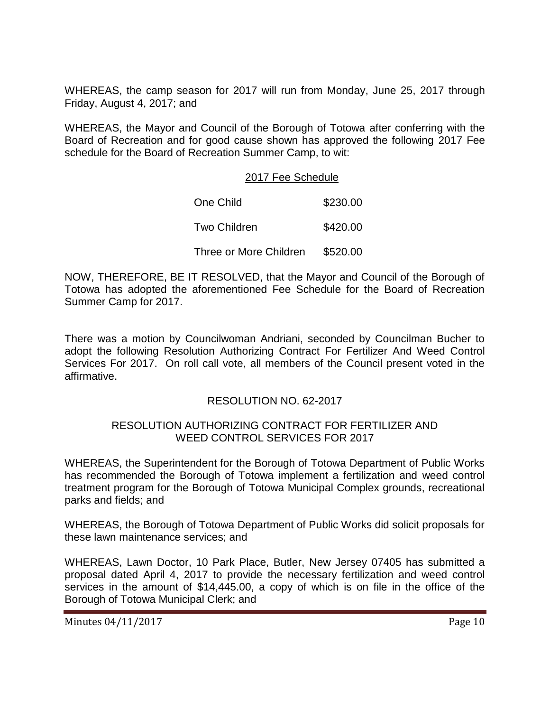WHEREAS, the camp season for 2017 will run from Monday, June 25, 2017 through Friday, August 4, 2017; and

WHEREAS, the Mayor and Council of the Borough of Totowa after conferring with the Board of Recreation and for good cause shown has approved the following 2017 Fee schedule for the Board of Recreation Summer Camp, to wit:

#### 2017 Fee Schedule

| One Child              | \$230.00 |
|------------------------|----------|
| <b>Two Children</b>    | \$420.00 |
| Three or More Children | \$520.00 |

NOW, THEREFORE, BE IT RESOLVED, that the Mayor and Council of the Borough of Totowa has adopted the aforementioned Fee Schedule for the Board of Recreation Summer Camp for 2017.

There was a motion by Councilwoman Andriani, seconded by Councilman Bucher to adopt the following Resolution Authorizing Contract For Fertilizer And Weed Control Services For 2017. On roll call vote, all members of the Council present voted in the affirmative.

### RESOLUTION NO. 62-2017

### RESOLUTION AUTHORIZING CONTRACT FOR FERTILIZER AND WEED CONTROL SERVICES FOR 2017

WHEREAS, the Superintendent for the Borough of Totowa Department of Public Works has recommended the Borough of Totowa implement a fertilization and weed control treatment program for the Borough of Totowa Municipal Complex grounds, recreational parks and fields; and

WHEREAS, the Borough of Totowa Department of Public Works did solicit proposals for these lawn maintenance services; and

WHEREAS, Lawn Doctor, 10 Park Place, Butler, New Jersey 07405 has submitted a proposal dated April 4, 2017 to provide the necessary fertilization and weed control services in the amount of \$14,445.00, a copy of which is on file in the office of the Borough of Totowa Municipal Clerk; and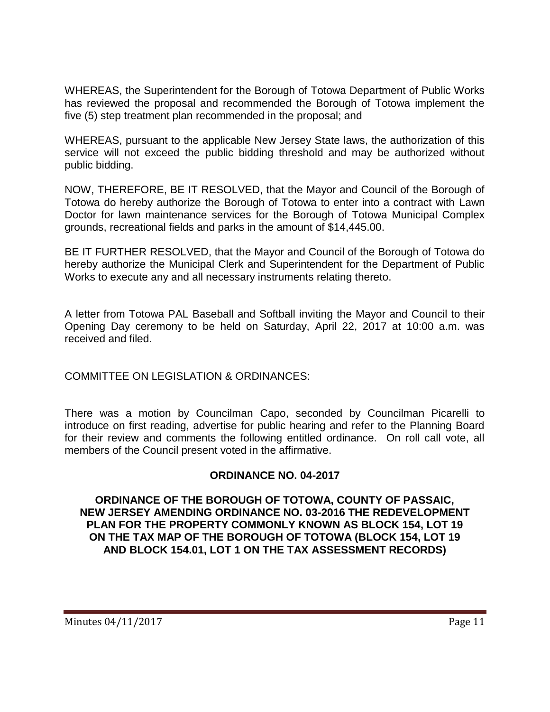WHEREAS, the Superintendent for the Borough of Totowa Department of Public Works has reviewed the proposal and recommended the Borough of Totowa implement the five (5) step treatment plan recommended in the proposal; and

WHEREAS, pursuant to the applicable New Jersey State laws, the authorization of this service will not exceed the public bidding threshold and may be authorized without public bidding.

NOW, THEREFORE, BE IT RESOLVED, that the Mayor and Council of the Borough of Totowa do hereby authorize the Borough of Totowa to enter into a contract with Lawn Doctor for lawn maintenance services for the Borough of Totowa Municipal Complex grounds, recreational fields and parks in the amount of \$14,445.00.

BE IT FURTHER RESOLVED, that the Mayor and Council of the Borough of Totowa do hereby authorize the Municipal Clerk and Superintendent for the Department of Public Works to execute any and all necessary instruments relating thereto.

A letter from Totowa PAL Baseball and Softball inviting the Mayor and Council to their Opening Day ceremony to be held on Saturday, April 22, 2017 at 10:00 a.m. was received and filed.

COMMITTEE ON LEGISLATION & ORDINANCES:

There was a motion by Councilman Capo, seconded by Councilman Picarelli to introduce on first reading, advertise for public hearing and refer to the Planning Board for their review and comments the following entitled ordinance. On roll call vote, all members of the Council present voted in the affirmative.

# **ORDINANCE NO. 04-2017**

**ORDINANCE OF THE BOROUGH OF TOTOWA, COUNTY OF PASSAIC, NEW JERSEY AMENDING ORDINANCE NO. 03-2016 THE REDEVELOPMENT PLAN FOR THE PROPERTY COMMONLY KNOWN AS BLOCK 154, LOT 19 ON THE TAX MAP OF THE BOROUGH OF TOTOWA (BLOCK 154, LOT 19 AND BLOCK 154.01, LOT 1 ON THE TAX ASSESSMENT RECORDS)**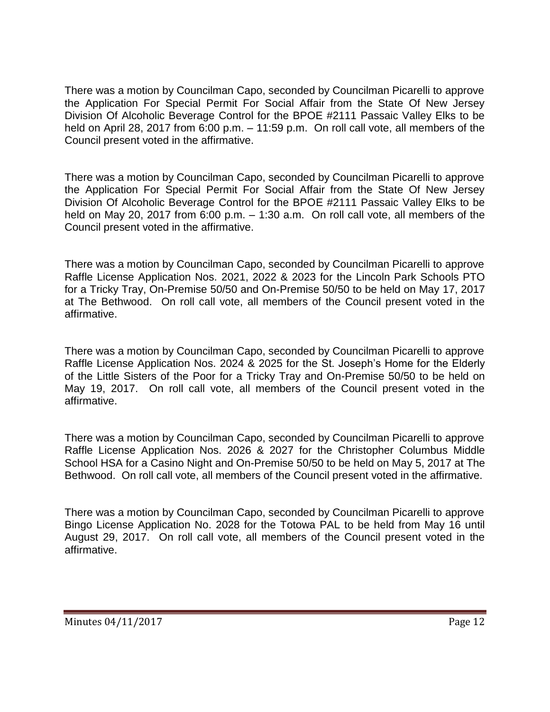There was a motion by Councilman Capo, seconded by Councilman Picarelli to approve the Application For Special Permit For Social Affair from the State Of New Jersey Division Of Alcoholic Beverage Control for the BPOE #2111 Passaic Valley Elks to be held on April 28, 2017 from 6:00 p.m. – 11:59 p.m. On roll call vote, all members of the Council present voted in the affirmative.

There was a motion by Councilman Capo, seconded by Councilman Picarelli to approve the Application For Special Permit For Social Affair from the State Of New Jersey Division Of Alcoholic Beverage Control for the BPOE #2111 Passaic Valley Elks to be held on May 20, 2017 from 6:00 p.m. – 1:30 a.m. On roll call vote, all members of the Council present voted in the affirmative.

There was a motion by Councilman Capo, seconded by Councilman Picarelli to approve Raffle License Application Nos. 2021, 2022 & 2023 for the Lincoln Park Schools PTO for a Tricky Tray, On-Premise 50/50 and On-Premise 50/50 to be held on May 17, 2017 at The Bethwood. On roll call vote, all members of the Council present voted in the affirmative.

There was a motion by Councilman Capo, seconded by Councilman Picarelli to approve Raffle License Application Nos. 2024 & 2025 for the St. Joseph's Home for the Elderly of the Little Sisters of the Poor for a Tricky Tray and On-Premise 50/50 to be held on May 19, 2017. On roll call vote, all members of the Council present voted in the affirmative.

There was a motion by Councilman Capo, seconded by Councilman Picarelli to approve Raffle License Application Nos. 2026 & 2027 for the Christopher Columbus Middle School HSA for a Casino Night and On-Premise 50/50 to be held on May 5, 2017 at The Bethwood. On roll call vote, all members of the Council present voted in the affirmative.

There was a motion by Councilman Capo, seconded by Councilman Picarelli to approve Bingo License Application No. 2028 for the Totowa PAL to be held from May 16 until August 29, 2017. On roll call vote, all members of the Council present voted in the affirmative.